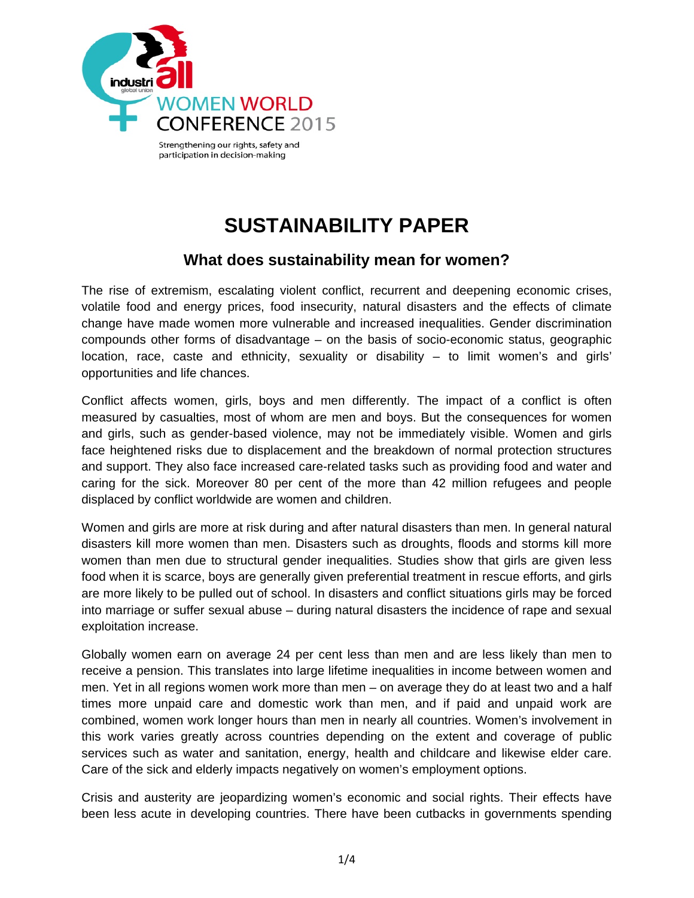

## **SUSTAINABILITY PAPER**

## **What does sustainability mean for women?**

The rise of extremism, escalating violent conflict, recurrent and deepening economic crises, volatile food and energy prices, food insecurity, natural disasters and the effects of climate change have made women more vulnerable and increased inequalities. Gender discrimination compounds other forms of disadvantage – on the basis of socio-economic status, geographic location, race, caste and ethnicity, sexuality or disability – to limit women's and girls' opportunities and life chances.

Conflict affects women, girls, boys and men differently. The impact of a conflict is often measured by casualties, most of whom are men and boys. But the consequences for women and girls, such as gender-based violence, may not be immediately visible. Women and girls face heightened risks due to displacement and the breakdown of normal protection structures and support. They also face increased care-related tasks such as providing food and water and caring for the sick. Moreover 80 per cent of the more than 42 million refugees and people displaced by conflict worldwide are women and children.

Women and girls are more at risk during and after natural disasters than men. In general natural disasters kill more women than men. Disasters such as droughts, floods and storms kill more women than men due to structural gender inequalities. Studies show that girls are given less food when it is scarce, boys are generally given preferential treatment in rescue efforts, and girls are more likely to be pulled out of school. In disasters and conflict situations girls may be forced into marriage or suffer sexual abuse – during natural disasters the incidence of rape and sexual exploitation increase.

Globally women earn on average 24 per cent less than men and are less likely than men to receive a pension. This translates into large lifetime inequalities in income between women and men. Yet in all regions women work more than men – on average they do at least two and a half times more unpaid care and domestic work than men, and if paid and unpaid work are combined, women work longer hours than men in nearly all countries. Women's involvement in this work varies greatly across countries depending on the extent and coverage of public services such as water and sanitation, energy, health and childcare and likewise elder care. Care of the sick and elderly impacts negatively on women's employment options.

Crisis and austerity are jeopardizing women's economic and social rights. Their effects have been less acute in developing countries. There have been cutbacks in governments spending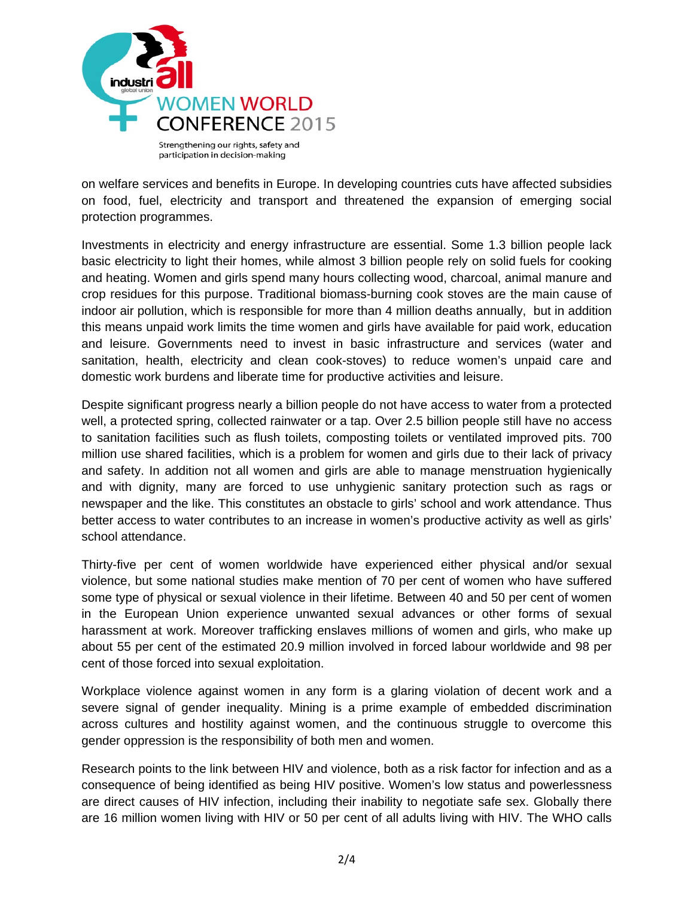

on welfare services and benefits in Europe. In developing countries cuts have affected subsidies on food, fuel, electricity and transport and threatened the expansion of emerging social protection programmes.

Investments in electricity and energy infrastructure are essential. Some 1.3 billion people lack basic electricity to light their homes, while almost 3 billion people rely on solid fuels for cooking and heating. Women and girls spend many hours collecting wood, charcoal, animal manure and crop residues for this purpose. Traditional biomass-burning cook stoves are the main cause of indoor air pollution, which is responsible for more than 4 million deaths annually, but in addition this means unpaid work limits the time women and girls have available for paid work, education and leisure. Governments need to invest in basic infrastructure and services (water and sanitation, health, electricity and clean cook-stoves) to reduce women's unpaid care and domestic work burdens and liberate time for productive activities and leisure.

Despite significant progress nearly a billion people do not have access to water from a protected well, a protected spring, collected rainwater or a tap. Over 2.5 billion people still have no access to sanitation facilities such as flush toilets, composting toilets or ventilated improved pits. 700 million use shared facilities, which is a problem for women and girls due to their lack of privacy and safety. In addition not all women and girls are able to manage menstruation hygienically and with dignity, many are forced to use unhygienic sanitary protection such as rags or newspaper and the like. This constitutes an obstacle to girls' school and work attendance. Thus better access to water contributes to an increase in women's productive activity as well as girls' school attendance.

Thirty-five per cent of women worldwide have experienced either physical and/or sexual violence, but some national studies make mention of 70 per cent of women who have suffered some type of physical or sexual violence in their lifetime. Between 40 and 50 per cent of women in the European Union experience unwanted sexual advances or other forms of sexual harassment at work. Moreover trafficking enslaves millions of women and girls, who make up about 55 per cent of the estimated 20.9 million involved in forced labour worldwide and 98 per cent of those forced into sexual exploitation.

Workplace violence against women in any form is a glaring violation of decent work and a severe signal of gender inequality. Mining is a prime example of embedded discrimination across cultures and hostility against women, and the continuous struggle to overcome this gender oppression is the responsibility of both men and women.

Research points to the link between HIV and violence, both as a risk factor for infection and as a consequence of being identified as being HIV positive. Women's low status and powerlessness are direct causes of HIV infection, including their inability to negotiate safe sex. Globally there are 16 million women living with HIV or 50 per cent of all adults living with HIV. The WHO calls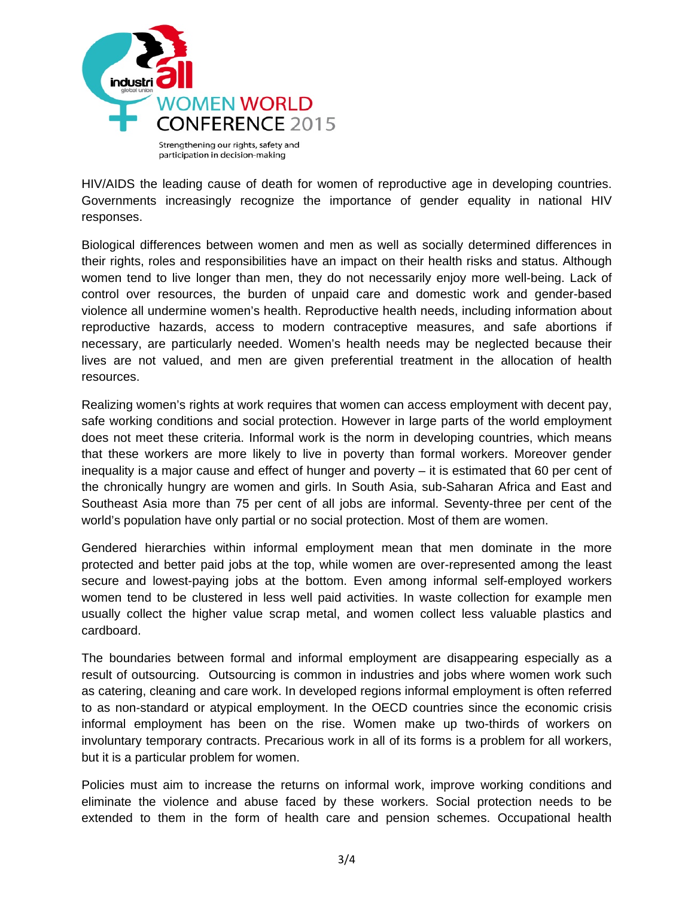

HIV/AIDS the leading cause of death for women of reproductive age in developing countries. Governments increasingly recognize the importance of gender equality in national HIV responses.

Biological differences between women and men as well as socially determined differences in their rights, roles and responsibilities have an impact on their health risks and status. Although women tend to live longer than men, they do not necessarily enjoy more well-being. Lack of control over resources, the burden of unpaid care and domestic work and gender-based violence all undermine women's health. Reproductive health needs, including information about reproductive hazards, access to modern contraceptive measures, and safe abortions if necessary, are particularly needed. Women's health needs may be neglected because their lives are not valued, and men are given preferential treatment in the allocation of health resources.

Realizing women's rights at work requires that women can access employment with decent pay, safe working conditions and social protection. However in large parts of the world employment does not meet these criteria. Informal work is the norm in developing countries, which means that these workers are more likely to live in poverty than formal workers. Moreover gender inequality is a major cause and effect of hunger and poverty – it is estimated that 60 per cent of the chronically hungry are women and girls. In South Asia, sub-Saharan Africa and East and Southeast Asia more than 75 per cent of all jobs are informal. Seventy-three per cent of the world's population have only partial or no social protection. Most of them are women.

Gendered hierarchies within informal employment mean that men dominate in the more protected and better paid jobs at the top, while women are over-represented among the least secure and lowest-paying jobs at the bottom. Even among informal self-employed workers women tend to be clustered in less well paid activities. In waste collection for example men usually collect the higher value scrap metal, and women collect less valuable plastics and cardboard.

The boundaries between formal and informal employment are disappearing especially as a result of outsourcing. Outsourcing is common in industries and jobs where women work such as catering, cleaning and care work. In developed regions informal employment is often referred to as non-standard or atypical employment. In the OECD countries since the economic crisis informal employment has been on the rise. Women make up two-thirds of workers on involuntary temporary contracts. Precarious work in all of its forms is a problem for all workers, but it is a particular problem for women.

Policies must aim to increase the returns on informal work, improve working conditions and eliminate the violence and abuse faced by these workers. Social protection needs to be extended to them in the form of health care and pension schemes. Occupational health